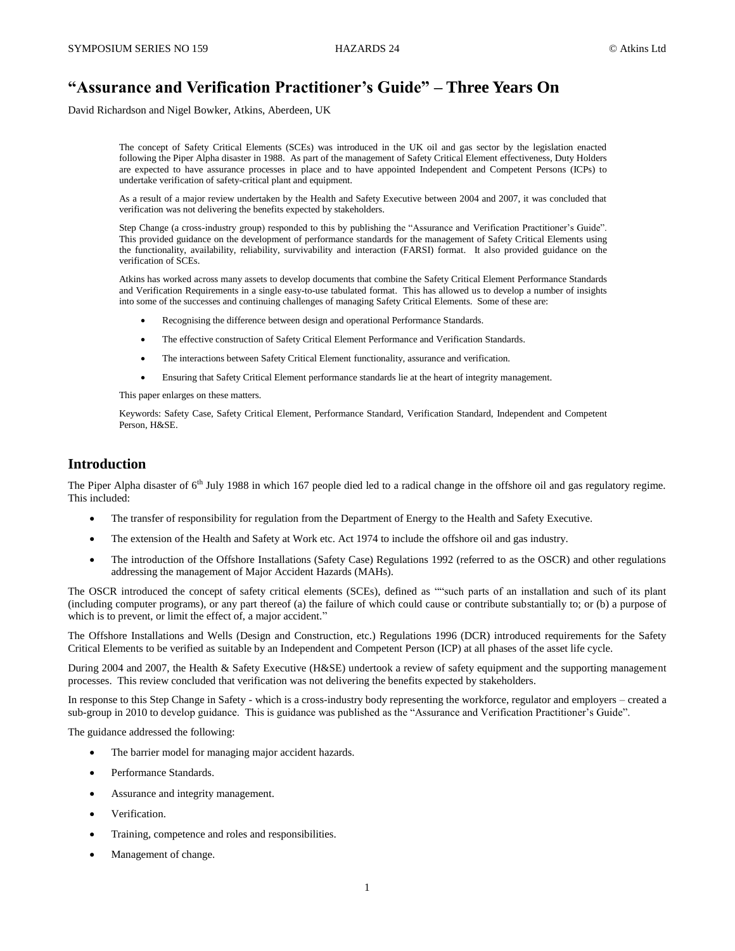# **"Assurance and Verification Practitioner's Guide" – Three Years On**

David Richardson and Nigel Bowker, Atkins, Aberdeen, UK

The concept of Safety Critical Elements (SCEs) was introduced in the UK oil and gas sector by the legislation enacted following the Piper Alpha disaster in 1988. As part of the management of Safety Critical Element effectiveness, Duty Holders are expected to have assurance processes in place and to have appointed Independent and Competent Persons (ICPs) to undertake verification of safety-critical plant and equipment.

As a result of a major review undertaken by the Health and Safety Executive between 2004 and 2007, it was concluded that verification was not delivering the benefits expected by stakeholders.

Step Change (a cross-industry group) responded to this by publishing the "Assurance and Verification Practitioner's Guide". This provided guidance on the development of performance standards for the management of Safety Critical Elements using the functionality, availability, reliability, survivability and interaction (FARSI) format. It also provided guidance on the verification of SCEs.

Atkins has worked across many assets to develop documents that combine the Safety Critical Element Performance Standards and Verification Requirements in a single easy-to-use tabulated format. This has allowed us to develop a number of insights into some of the successes and continuing challenges of managing Safety Critical Elements. Some of these are:

- Recognising the difference between design and operational Performance Standards.
- The effective construction of Safety Critical Element Performance and Verification Standards.
- The interactions between Safety Critical Element functionality, assurance and verification.
- Ensuring that Safety Critical Element performance standards lie at the heart of integrity management.

This paper enlarges on these matters.

Keywords: Safety Case, Safety Critical Element, Performance Standard, Verification Standard, Independent and Competent Person, H&SE.

### **Introduction**

The Piper Alpha disaster of  $6<sup>th</sup>$  July 1988 in which 167 people died led to a radical change in the offshore oil and gas regulatory regime. This included:

- The transfer of responsibility for regulation from the Department of Energy to the Health and Safety Executive.
- The extension of the Health and Safety at Work etc. Act 1974 to include the offshore oil and gas industry.
- The introduction of the Offshore Installations (Safety Case) Regulations 1992 (referred to as the OSCR) and other regulations addressing the management of Major Accident Hazards (MAHs).

The OSCR introduced the concept of safety critical elements (SCEs), defined as ""such parts of an installation and such of its plant (including computer programs), or any part thereof (a) the failure of which could cause or contribute substantially to; or (b) a purpose of which is to prevent, or limit the effect of, a major accident."

The Offshore Installations and Wells (Design and Construction, etc.) Regulations 1996 (DCR) introduced requirements for the Safety Critical Elements to be verified as suitable by an Independent and Competent Person (ICP) at all phases of the asset life cycle.

During 2004 and 2007, the Health & Safety Executive (H&SE) undertook a review of safety equipment and the supporting management processes. This review concluded that verification was not delivering the benefits expected by stakeholders.

In response to this Step Change in Safety - which is a cross-industry body representing the workforce, regulator and employers – created a sub-group in 2010 to develop guidance. This is guidance was published as the "Assurance and Verification Practitioner's Guide".

The guidance addressed the following:

- The barrier model for managing major accident hazards.
- Performance Standards.
- Assurance and integrity management.
- Verification.
- Training, competence and roles and responsibilities.
- Management of change.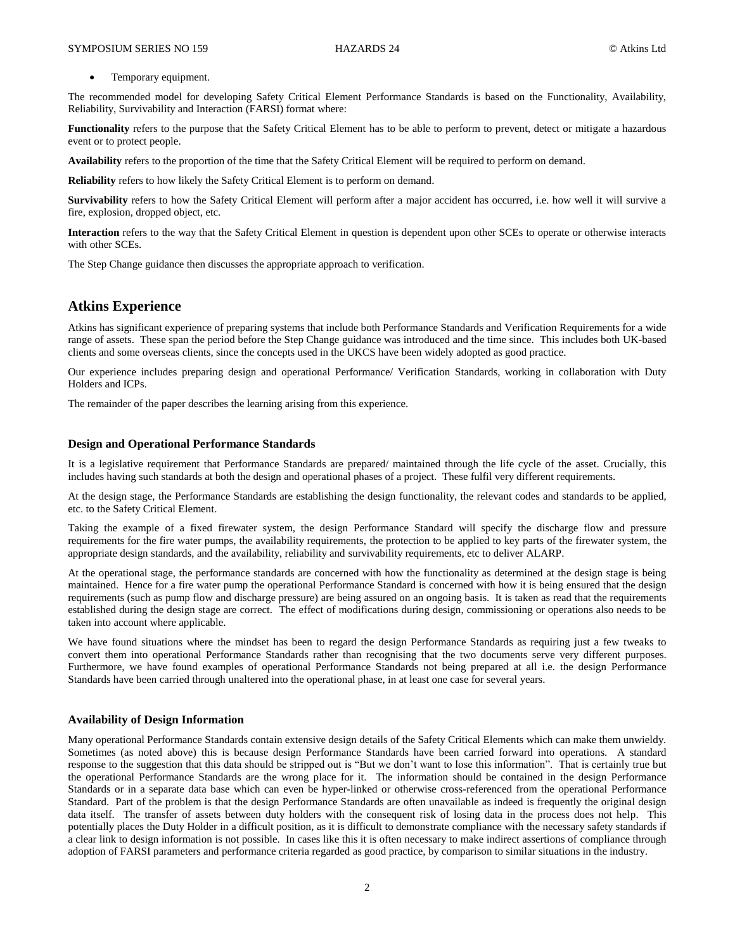Temporary equipment.

The recommended model for developing Safety Critical Element Performance Standards is based on the Functionality, Availability, Reliability, Survivability and Interaction (FARSI) format where:

**Functionality** refers to the purpose that the Safety Critical Element has to be able to perform to prevent, detect or mitigate a hazardous event or to protect people.

**Availability** refers to the proportion of the time that the Safety Critical Element will be required to perform on demand.

**Reliability** refers to how likely the Safety Critical Element is to perform on demand.

**Survivability** refers to how the Safety Critical Element will perform after a major accident has occurred, i.e. how well it will survive a fire, explosion, dropped object, etc.

**Interaction** refers to the way that the Safety Critical Element in question is dependent upon other SCEs to operate or otherwise interacts with other SCEs.

The Step Change guidance then discusses the appropriate approach to verification.

# **Atkins Experience**

Atkins has significant experience of preparing systems that include both Performance Standards and Verification Requirements for a wide range of assets. These span the period before the Step Change guidance was introduced and the time since. This includes both UK-based clients and some overseas clients, since the concepts used in the UKCS have been widely adopted as good practice.

Our experience includes preparing design and operational Performance/ Verification Standards, working in collaboration with Duty Holders and ICPs.

The remainder of the paper describes the learning arising from this experience.

### **Design and Operational Performance Standards**

It is a legislative requirement that Performance Standards are prepared/ maintained through the life cycle of the asset. Crucially, this includes having such standards at both the design and operational phases of a project. These fulfil very different requirements.

At the design stage, the Performance Standards are establishing the design functionality, the relevant codes and standards to be applied, etc. to the Safety Critical Element.

Taking the example of a fixed firewater system, the design Performance Standard will specify the discharge flow and pressure requirements for the fire water pumps, the availability requirements, the protection to be applied to key parts of the firewater system, the appropriate design standards, and the availability, reliability and survivability requirements, etc to deliver ALARP.

At the operational stage, the performance standards are concerned with how the functionality as determined at the design stage is being maintained. Hence for a fire water pump the operational Performance Standard is concerned with how it is being ensured that the design requirements (such as pump flow and discharge pressure) are being assured on an ongoing basis. It is taken as read that the requirements established during the design stage are correct. The effect of modifications during design, commissioning or operations also needs to be taken into account where applicable.

We have found situations where the mindset has been to regard the design Performance Standards as requiring just a few tweaks to convert them into operational Performance Standards rather than recognising that the two documents serve very different purposes. Furthermore, we have found examples of operational Performance Standards not being prepared at all i.e. the design Performance Standards have been carried through unaltered into the operational phase, in at least one case for several years.

#### **Availability of Design Information**

Many operational Performance Standards contain extensive design details of the Safety Critical Elements which can make them unwieldy. Sometimes (as noted above) this is because design Performance Standards have been carried forward into operations. A standard response to the suggestion that this data should be stripped out is "But we don't want to lose this information". That is certainly true but the operational Performance Standards are the wrong place for it. The information should be contained in the design Performance Standards or in a separate data base which can even be hyper-linked or otherwise cross-referenced from the operational Performance Standard. Part of the problem is that the design Performance Standards are often unavailable as indeed is frequently the original design data itself. The transfer of assets between duty holders with the consequent risk of losing data in the process does not help. This potentially places the Duty Holder in a difficult position, as it is difficult to demonstrate compliance with the necessary safety standards if a clear link to design information is not possible. In cases like this it is often necessary to make indirect assertions of compliance through adoption of FARSI parameters and performance criteria regarded as good practice, by comparison to similar situations in the industry.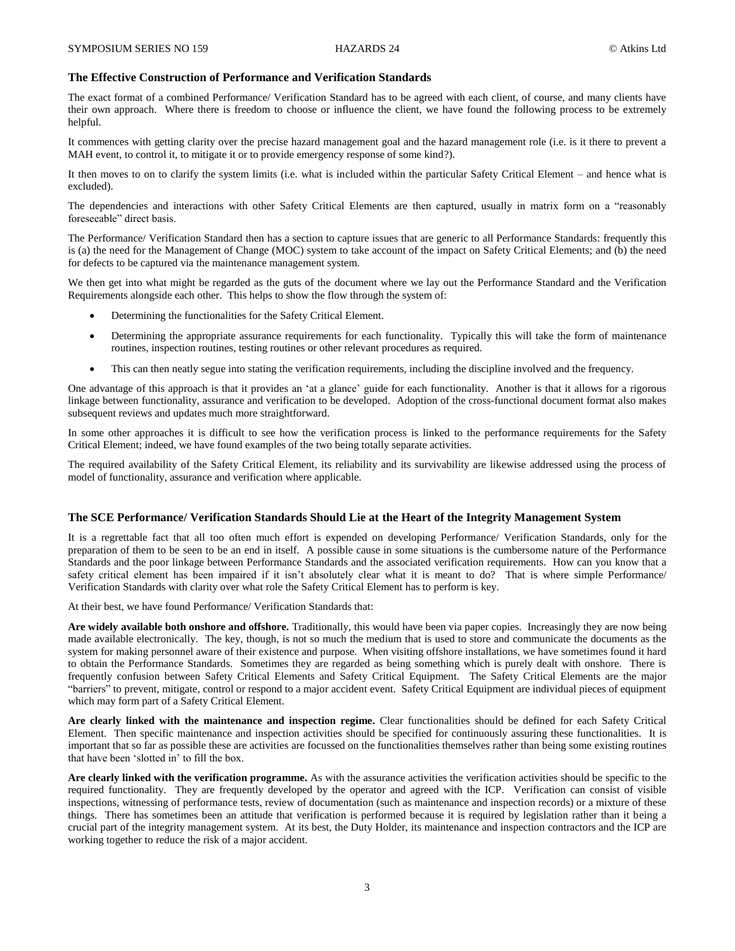#### **The Effective Construction of Performance and Verification Standards**

The exact format of a combined Performance/ Verification Standard has to be agreed with each client, of course, and many clients have their own approach. Where there is freedom to choose or influence the client, we have found the following process to be extremely helpful.

It commences with getting clarity over the precise hazard management goal and the hazard management role (i.e. is it there to prevent a MAH event, to control it, to mitigate it or to provide emergency response of some kind?).

It then moves to on to clarify the system limits (i.e. what is included within the particular Safety Critical Element – and hence what is excluded).

The dependencies and interactions with other Safety Critical Elements are then captured, usually in matrix form on a "reasonably foreseeable" direct basis.

The Performance/ Verification Standard then has a section to capture issues that are generic to all Performance Standards: frequently this is (a) the need for the Management of Change (MOC) system to take account of the impact on Safety Critical Elements; and (b) the need for defects to be captured via the maintenance management system.

We then get into what might be regarded as the guts of the document where we lay out the Performance Standard and the Verification Requirements alongside each other. This helps to show the flow through the system of:

- Determining the functionalities for the Safety Critical Element.
- Determining the appropriate assurance requirements for each functionality. Typically this will take the form of maintenance routines, inspection routines, testing routines or other relevant procedures as required.
- This can then neatly segue into stating the verification requirements, including the discipline involved and the frequency.

One advantage of this approach is that it provides an 'at a glance' guide for each functionality. Another is that it allows for a rigorous linkage between functionality, assurance and verification to be developed. Adoption of the cross-functional document format also makes subsequent reviews and updates much more straightforward.

In some other approaches it is difficult to see how the verification process is linked to the performance requirements for the Safety Critical Element; indeed, we have found examples of the two being totally separate activities.

The required availability of the Safety Critical Element, its reliability and its survivability are likewise addressed using the process of model of functionality, assurance and verification where applicable.

#### **The SCE Performance/ Verification Standards Should Lie at the Heart of the Integrity Management System**

It is a regrettable fact that all too often much effort is expended on developing Performance/ Verification Standards, only for the preparation of them to be seen to be an end in itself. A possible cause in some situations is the cumbersome nature of the Performance Standards and the poor linkage between Performance Standards and the associated verification requirements. How can you know that a safety critical element has been impaired if it isn't absolutely clear what it is meant to do? That is where simple Performance/ Verification Standards with clarity over what role the Safety Critical Element has to perform is key.

At their best, we have found Performance/ Verification Standards that:

**Are widely available both onshore and offshore.** Traditionally, this would have been via paper copies. Increasingly they are now being made available electronically. The key, though, is not so much the medium that is used to store and communicate the documents as the system for making personnel aware of their existence and purpose. When visiting offshore installations, we have sometimes found it hard to obtain the Performance Standards. Sometimes they are regarded as being something which is purely dealt with onshore. There is frequently confusion between Safety Critical Elements and Safety Critical Equipment. The Safety Critical Elements are the major "barriers" to prevent, mitigate, control or respond to a major accident event. Safety Critical Equipment are individual pieces of equipment which may form part of a Safety Critical Element.

**Are clearly linked with the maintenance and inspection regime.** Clear functionalities should be defined for each Safety Critical Element. Then specific maintenance and inspection activities should be specified for continuously assuring these functionalities. It is important that so far as possible these are activities are focussed on the functionalities themselves rather than being some existing routines that have been 'slotted in' to fill the box.

Are clearly linked with the verification programme. As with the assurance activities the verification activities should be specific to the required functionality. They are frequently developed by the operator and agreed with the ICP. Verification can consist of visible inspections, witnessing of performance tests, review of documentation (such as maintenance and inspection records) or a mixture of these things. There has sometimes been an attitude that verification is performed because it is required by legislation rather than it being a crucial part of the integrity management system. At its best, the Duty Holder, its maintenance and inspection contractors and the ICP are working together to reduce the risk of a major accident.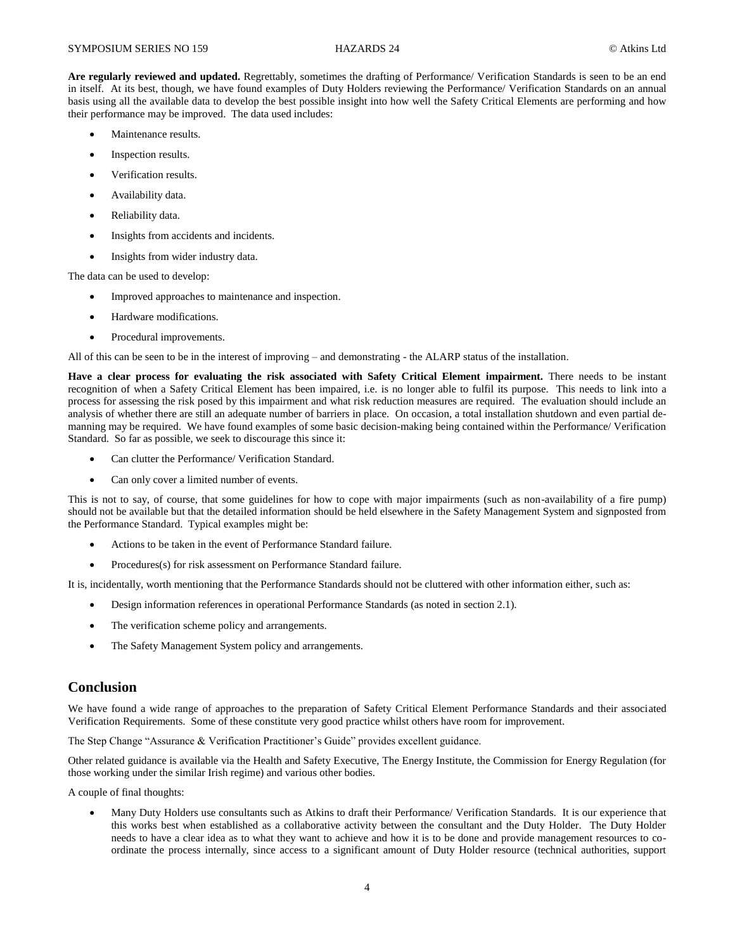**Are regularly reviewed and updated.** Regrettably, sometimes the drafting of Performance/ Verification Standards is seen to be an end in itself. At its best, though, we have found examples of Duty Holders reviewing the Performance/ Verification Standards on an annual basis using all the available data to develop the best possible insight into how well the Safety Critical Elements are performing and how their performance may be improved. The data used includes:

- Maintenance results.
- Inspection results.
- Verification results.
- Availability data.
- Reliability data.
- Insights from accidents and incidents.
- Insights from wider industry data.

The data can be used to develop:

- Improved approaches to maintenance and inspection.
- Hardware modifications.
- Procedural improvements.

All of this can be seen to be in the interest of improving – and demonstrating - the ALARP status of the installation.

**Have a clear process for evaluating the risk associated with Safety Critical Element impairment.** There needs to be instant recognition of when a Safety Critical Element has been impaired, i.e. is no longer able to fulfil its purpose. This needs to link into a process for assessing the risk posed by this impairment and what risk reduction measures are required. The evaluation should include an analysis of whether there are still an adequate number of barriers in place. On occasion, a total installation shutdown and even partial demanning may be required. We have found examples of some basic decision-making being contained within the Performance/ Verification Standard. So far as possible, we seek to discourage this since it:

- Can clutter the Performance/ Verification Standard.
- Can only cover a limited number of events.

This is not to say, of course, that some guidelines for how to cope with major impairments (such as non-availability of a fire pump) should not be available but that the detailed information should be held elsewhere in the Safety Management System and signposted from the Performance Standard. Typical examples might be:

- Actions to be taken in the event of Performance Standard failure.
- Procedures(s) for risk assessment on Performance Standard failure.

It is, incidentally, worth mentioning that the Performance Standards should not be cluttered with other information either, such as:

- Design information references in operational Performance Standards (as noted in section 2.1).
- The verification scheme policy and arrangements.
- The Safety Management System policy and arrangements.

### **Conclusion**

We have found a wide range of approaches to the preparation of Safety Critical Element Performance Standards and their associated Verification Requirements. Some of these constitute very good practice whilst others have room for improvement.

The Step Change "Assurance & Verification Practitioner's Guide" provides excellent guidance.

Other related guidance is available via the Health and Safety Executive, The Energy Institute, the Commission for Energy Regulation (for those working under the similar Irish regime) and various other bodies.

A couple of final thoughts:

 Many Duty Holders use consultants such as Atkins to draft their Performance/ Verification Standards. It is our experience that this works best when established as a collaborative activity between the consultant and the Duty Holder. The Duty Holder needs to have a clear idea as to what they want to achieve and how it is to be done and provide management resources to coordinate the process internally, since access to a significant amount of Duty Holder resource (technical authorities, support